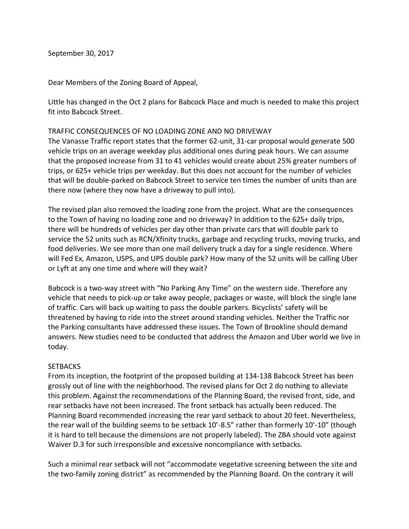September 30, 2017

Dear Members of the Zoning Board of Appeal,

Little has changed in the Oct 2 plans for Babcock Place and much is needed to make this project fit into Babcock Street.

### TRAFFIC CONSEQUENCES OF NO LOADING ZONE AND NO DRIVEWAY

The Vanasse Traffic report states that the former 62-unit, 31-car proposal would generate 500 vehicle trips on an average weekday plus additional ones during peak hours. We can assume that the proposed increase from 31 to 41 vehicles would create about 25% greater numbers of trips, or 625+ vehicle trips per weekday. But this does not account for the number of vehicles that will be double-parked on Babcock Street to service ten times the number of units than are there now (where they now have a driveway to pull into).

The revised plan also removed the loading zone from the project. What are the consequences to the Town of having no loading zone and no driveway? In addition to the 625+ daily trips, there will be hundreds of vehicles per day other than private cars that will double park to service the 52 units such as RCN/Xfinity trucks, garbage and recycling trucks, moving trucks, and food deliveries. We see more than one mail delivery truck a day for a single residence. Where will Fed Ex, Amazon, USPS, and UPS double park? How many of the 52 units will be calling Uber or Lyft at any one time and where will they wait?

Babcock is a two-way street with "No Parking Any Time" on the western side. Therefore any vehicle that needs to pick-up or take away people, packages or waste, will block the single lane of traffic. Cars will back up waiting to pass the double parkers. Bicyclists' safety will be threatened by having to ride into the street around standing vehicles. Neither the Traffic nor the Parking consultants have addressed these issues. The Town of Brookline should demand answers. New studies need to be conducted that address the Amazon and Uber world we live in today.

### **SETBACKS**

From its inception, the footprint of the proposed building at 134-138 Babcock Street has been grossly out of line with the neighborhood. The revised plans for Oct 2 do nothing to alleviate this problem. Against the recommendations of the Planning Board, the revised front, side, and rear setbacks have not been increased. The front setback has actually been reduced. The Planning Board recommended increasing the rear yard setback to about 20 feet. Nevertheless, the rear wall of the building seems to be setback 10'-8.5" rather than formerly 10'-10" (though it is hard to tell because the dimensions are not properly labeled). The ZBA should vote against Waiver D.3 for such irresponsible and excessive noncompliance with setbacks.

Such a minimal rear setback will not "accommodate vegetative screening between the site and the two-family zoning district" as recommended by the Planning Board. On the contrary it will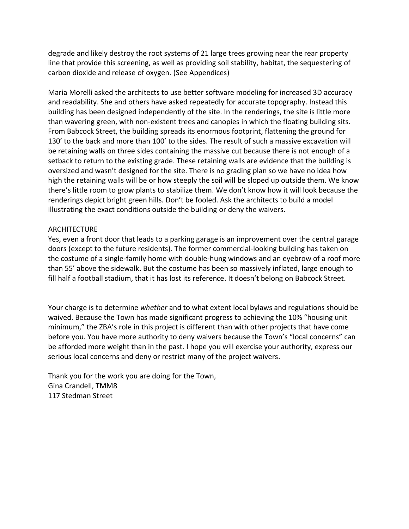degrade and likely destroy the root systems of 21 large trees growing near the rear property line that provide this screening, as well as providing soil stability, habitat, the sequestering of carbon dioxide and release of oxygen. (See Appendices)

Maria Morelli asked the architects to use better software modeling for increased 3D accuracy and readability. She and others have asked repeatedly for accurate topography. Instead this building has been designed independently of the site. In the renderings, the site is little more than wavering green, with non-existent trees and canopies in which the floating building sits. From Babcock Street, the building spreads its enormous footprint, flattening the ground for 130' to the back and more than 100' to the sides. The result of such a massive excavation will be retaining walls on three sides containing the massive cut because there is not enough of a setback to return to the existing grade. These retaining walls are evidence that the building is oversized and wasn't designed for the site. There is no grading plan so we have no idea how high the retaining walls will be or how steeply the soil will be sloped up outside them. We know there's little room to grow plants to stabilize them. We don't know how it will look because the renderings depict bright green hills. Don't be fooled. Ask the architects to build a model illustrating the exact conditions outside the building or deny the waivers.

#### ARCHITECTURE

Yes, even a front door that leads to a parking garage is an improvement over the central garage doors (except to the future residents). The former commercial-looking building has taken on the costume of a single-family home with double-hung windows and an eyebrow of a roof more than 55' above the sidewalk. But the costume has been so massively inflated, large enough to fill half a football stadium, that it has lost its reference. It doesn't belong on Babcock Street.

Your charge is to determine *whether* and to what extent local bylaws and regulations should be waived. Because the Town has made significant progress to achieving the 10% "housing unit minimum," the ZBA's role in this project is different than with other projects that have come before you. You have more authority to deny waivers because the Town's "local concerns" can be afforded more weight than in the past. I hope you will exercise your authority, express our serious local concerns and deny or restrict many of the project waivers.

Thank you for the work you are doing for the Town, Gina Crandell, TMM8 117 Stedman Street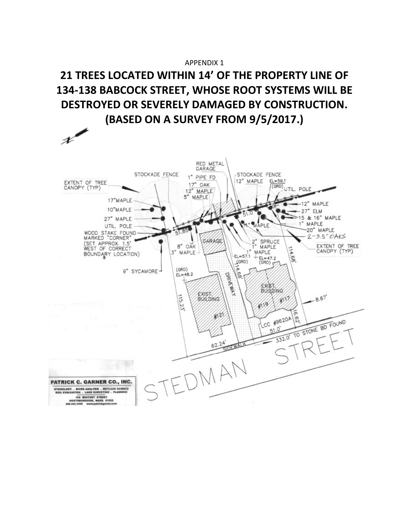# APPENDIX 1 **21 TREES LOCATED WITHIN 14' OF THE PROPERTY LINE OF 134-138 BABCOCK STREET, WHOSE ROOT SYSTEMS WILL BE DESTROYED OR SEVERELY DAMAGED BY CONSTRUCTION. (BASED ON A SURVEY FROM 9/5/2017.)**